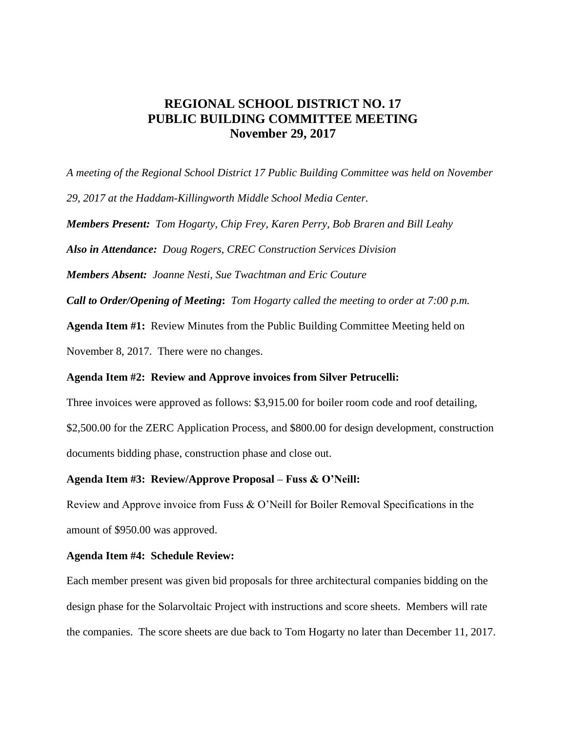## **REGIONAL SCHOOL DISTRICT NO. 17 PUBLIC BUILDING COMMITTEE MEETING November 29, 2017**

*A meeting of the Regional School District 17 Public Building Committee was held on November 29, 2017 at the Haddam-Killingworth Middle School Media Center. Members Present: Tom Hogarty, Chip Frey, Karen Perry, Bob Braren and Bill Leahy Also in Attendance: Doug Rogers, CREC Construction Services Division Members Absent: Joanne Nesti, Sue Twachtman and Eric Couture Call to Order/Opening of Meeting***:** *Tom Hogarty called the meeting to order at 7:00 p.m.* **Agenda Item #1:** Review Minutes from the Public Building Committee Meeting held on November 8, 2017. There were no changes.

## **Agenda Item #2: Review and Approve invoices from Silver Petrucelli:**

Three invoices were approved as follows: \$3,915.00 for boiler room code and roof detailing, \$2,500.00 for the ZERC Application Process, and \$800.00 for design development, construction documents bidding phase, construction phase and close out.

## **Agenda Item #3: Review/Approve Proposal – Fuss & O'Neill:**

Review and Approve invoice from Fuss & O'Neill for Boiler Removal Specifications in the amount of \$950.00 was approved.

## **Agenda Item #4: Schedule Review:**

Each member present was given bid proposals for three architectural companies bidding on the design phase for the Solarvoltaic Project with instructions and score sheets. Members will rate the companies. The score sheets are due back to Tom Hogarty no later than December 11, 2017.